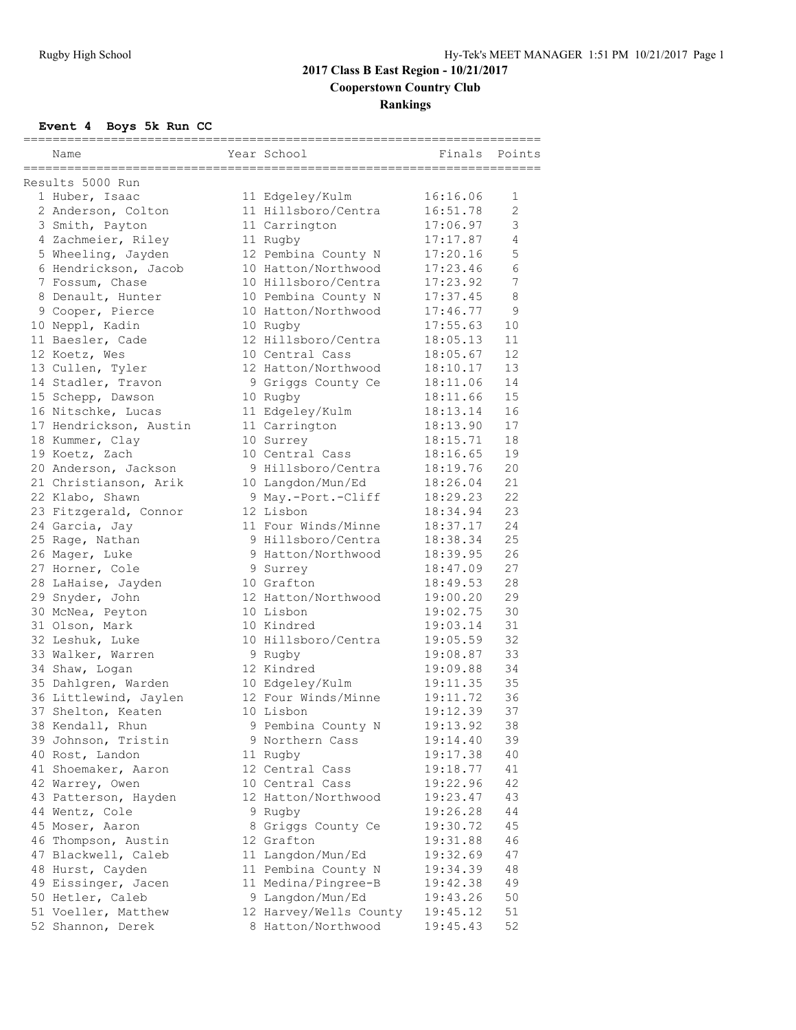|                                      |                                            | =============== |                |
|--------------------------------------|--------------------------------------------|-----------------|----------------|
| Name                                 | Year School                                | Finals          | Points         |
| Results 5000 Run                     |                                            |                 |                |
| 1 Huber, Isaac                       | 11 Edgeley/Kulm                            | 16:16.06        | 1              |
| 2 Anderson, Colton                   | 11 Hillsboro/Centra                        | 16:51.78        | $\overline{2}$ |
| 3 Smith, Payton                      | 11 Carrington                              | 17:06.97        | 3              |
| 4 Zachmeier, Riley                   | 11 Rugby                                   | 17:17.87        | 4              |
| 5 Wheeling, Jayden                   | 12 Pembina County N                        | 17:20.16        | 5              |
| 6 Hendrickson, Jacob                 | 10 Hatton/Northwood                        | 17:23.46        | 6              |
|                                      | 10 Hillsboro/Centra                        | 17:23.92        | 7              |
| 7 Fossum, Chase<br>8 Denault, Hunter |                                            | 17:37.45        | 8              |
| 9 Cooper, Pierce                     | 10 Pembina County N<br>10 Hatton/Northwood | 17:46.77        | 9              |
|                                      |                                            | 17:55.63        | 10             |
| 10 Neppl, Kadin<br>11 Baesler, Cade  | 10 Rugby<br>12 Hillsboro/Centra            | 18:05.13        | 11             |
|                                      |                                            |                 | 12             |
| 12 Koetz, Wes                        | 10 Central Cass                            | 18:05.67        | 13             |
| 13 Cullen, Tyler                     | 12 Hatton/Northwood                        | 18:10.17        |                |
| 14 Stadler, Travon                   | 9 Griggs County Ce                         | 18:11.06        | 14             |
| 15 Schepp, Dawson                    | 10 Rugby                                   | 18:11.66        | 15             |
| 16 Nitschke, Lucas                   | 11 Edgeley/Kulm                            | 18:13.14        | 16             |
| 17 Hendrickson, Austin               | 11 Carrington                              | 18:13.90        | 17             |
| 18 Kummer, Clay                      | 10 Surrey                                  | 18:15.71        | 18             |
| 19 Koetz, Zach                       | 10 Central Cass                            | 18:16.65        | 19             |
| 20 Anderson, Jackson                 | 9 Hillsboro/Centra                         | 18:19.76        | 20             |
| 21 Christianson, Arik                | 10 Langdon/Mun/Ed                          | 18:26.04        | 21             |
| 22 Klabo, Shawn                      | 9 May.-Port.-Cliff                         | 18:29.23        | 22             |
| 23 Fitzgerald, Connor                | 12 Lisbon                                  | 18:34.94        | 23             |
| 24 Garcia, Jay                       | 11 Four Winds/Minne                        | 18:37.17        | 24             |
| 25 Rage, Nathan                      | 9 Hillsboro/Centra                         | 18:38.34        | 25             |
| 26 Mager, Luke                       | 9 Hatton/Northwood                         | 18:39.95        | 26             |
| 27 Horner, Cole                      | 9 Surrey                                   | 18:47.09        | 27             |
| 28 LaHaise, Jayden                   | 10 Grafton                                 | 18:49.53        | 28             |
| 29 Snyder, John                      | 12 Hatton/Northwood                        | 19:00.20        | 29             |
| 30 McNea, Peyton                     | 10 Lisbon                                  | 19:02.75        | 30             |
| 31 Olson, Mark                       | 10 Kindred                                 | 19:03.14        | 31             |
| 32 Leshuk, Luke                      | 10 Hillsboro/Centra                        | 19:05.59        | 32             |
| 33 Walker, Warren                    | 9 Rugby                                    | 19:08.87        | 33             |
| 34 Shaw, Logan                       | 12 Kindred                                 | 19:09.88        | 34             |
| 35 Dahlgren, Warden                  | 10 Edgeley/Kulm                            | 19:11.35        | 35             |
| 36 Littlewind, Jaylen                | 12 Four Winds/Minne                        | 19:11.72        | 36             |
| 37 Shelton, Keaten                   | 10 Lisbon                                  | 19:12.39        | 37             |
| 38 Kendall, Rhun                     | 9 Pembina County N                         | 19:13.92        | 38             |
| 39 Johnson, Tristin                  | 9 Northern Cass                            | 19:14.40        | 39             |
| 40 Rost, Landon                      | 11 Rugby                                   | 19:17.38        | 40             |
| 41 Shoemaker, Aaron                  | 12 Central Cass                            | 19:18.77        | 41             |
| 42 Warrey, Owen                      | 10 Central Cass                            | 19:22.96        | 42             |
| 43 Patterson, Hayden                 | 12 Hatton/Northwood                        | 19:23.47        | 43             |
| 44 Wentz, Cole                       | 9 Rugby                                    | 19:26.28        | 44             |
| 45 Moser, Aaron                      | 8 Griggs County Ce                         | 19:30.72        | 45             |
| 46 Thompson, Austin                  | 12 Grafton                                 | 19:31.88        | 46             |
| 47 Blackwell, Caleb                  | 11 Langdon/Mun/Ed                          | 19:32.69        | 47             |
| 48 Hurst, Cayden                     | 11 Pembina County N                        | 19:34.39        | 48             |
| 49 Eissinger, Jacen                  | 11 Medina/Pingree-B                        | 19:42.38        | 49             |
| 50 Hetler, Caleb                     | 9 Langdon/Mun/Ed                           | 19:43.26        | 50             |
| 51 Voeller, Matthew                  | 12 Harvey/Wells County                     | 19:45.12        | 51             |
| 52 Shannon, Derek                    | 8 Hatton/Northwood                         | 19:45.43        | 52             |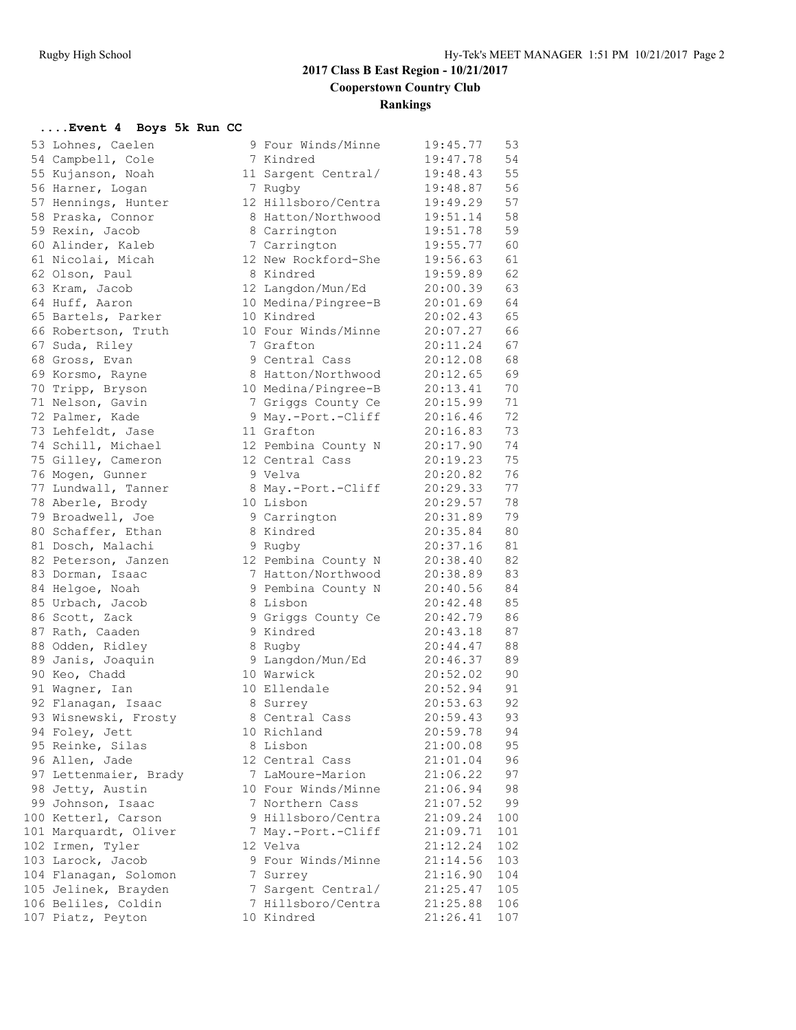| 53 | Lohnes, Caelen                    |
|----|-----------------------------------|
| 54 | Campbell, Cole                    |
| 55 | Kujanson, Noah                    |
| 56 | Harner, Logan                     |
| 57 | Hennings, Hunter                  |
| 58 | Praska, Connor                    |
| 59 |                                   |
|    | Rexin, Jacob                      |
| 60 | Alinder, Kaleb                    |
| 61 | Nicolai, Micah                    |
| 62 | Olson, Paul                       |
| 63 | Kram, Jacob                       |
| 64 | Huff, Aaron                       |
| 65 | Bartels, Parker                   |
| 66 | Robertson, Truth                  |
| 67 |                                   |
| 68 | Suda, Riley<br>Gross, Evan        |
| 69 | Korsmo, Rayne                     |
| 70 | Tripp, Bryson                     |
| 71 | Nelson, Gavin                     |
| 72 | Palmer, Kade                      |
| 73 | Lehfeldt, Jase                    |
| 74 | Schill, Michael                   |
| 75 | Gilley, Cameron                   |
|    |                                   |
| 76 | Mogen, Gunner                     |
| 77 | Lundwall, Tanner                  |
| 78 | Aberle, Brody                     |
| 79 | Broadwell, Joe<br>Schaffer, Ethan |
| 80 |                                   |
| 81 | Dosch, Malachi                    |
| 82 | Peterson, Janzen                  |
| 83 | Dorman, Isaac                     |
| 84 | Helgoe, Noah                      |
| 85 |                                   |
| 86 | Urbach, Jacob<br>Scott, Zack      |
| 87 | Rath, Caaden                      |
| 88 | Odden, Ridley                     |
| 89 | Janis, Joaquin                    |
| 90 | Keo, Chadd                        |
| 91 | Wagner, Ian                       |
| 92 | Flanagan, Isaac                   |
| 93 | Wisnewski, Frosty                 |
| 94 | Foley, Jett                       |
|    |                                   |
| 95 | Reinke, Silas                     |
| 96 | Allen, Jade                       |
| 97 | Lettenmaier, Brady                |
| 98 | Jetty, Austin                     |
|    | 99 Johnson, Isaac                 |
| 00 | Ketterl, Carson                   |
| 01 | Marquardt, Oliver                 |
| 02 | Irmen, Tyler                      |
| 03 | Larock, Jacob                     |
| 04 | Flanagan, Solomon                 |
|    | 05 Jelinek, Brayden               |
|    | 06 Beliles, Coldin                |
|    | 07 Piatz, Peyton                  |
|    |                                   |

| 53 Lohnes, Caelen                           | 9 Four Winds/Minne  | 19:45.77             | 53  |
|---------------------------------------------|---------------------|----------------------|-----|
| 54 Campbell, Cole                           | 7 Kindred           | 19:47.78             | 54  |
| 55 Kujanson, Noah                           | 11 Sargent Central/ | 19:48.43             | 55  |
| 56 Harner, Logan                            | 7 Rugby             | 19:48.87             | 56  |
| 57 Hennings, Hunter                         | 12 Hillsboro/Centra | 19:49.29             | 57  |
| 58 Praska, Connor                           | 8 Hatton/Northwood  | 19:51.14             | 58  |
| 59 Rexin, Jacob                             | 8 Carrington        | 19:51.78             | 59  |
| 60 Alinder, Kaleb                           | 7 Carrington        | 19:55.77             | 60  |
| 61 Nicolai, Micah                           | 12 New Rockford-She | 19:56.63             | 61  |
| 62 Olson, Paul                              | 8 Kindred           | 19:59.89             | 62  |
| 63 Kram, Jacob                              | 12 Langdon/Mun/Ed   | 20:00.39             | 63  |
| 64 Huff, Aaron                              | 10 Medina/Pingree-B | 20:01.69             | 64  |
| 65 Bartels, Parker                          | 10 Kindred          | 20:02.43             | 65  |
| 66 Robertson, Truth                         | 10 Four Winds/Minne | 20:07.27             | 66  |
| 67 Suda, Riley                              | 7 Grafton           | 20:11.24             | 67  |
| 68 Gross, Evan                              | 9 Central Cass      | 20:12.08             | 68  |
| 69 Korsmo, Rayne                            | 8 Hatton/Northwood  | 20:12.65             | 69  |
| 70 Tripp, Bryson                            | 10 Medina/Pingree-B | 20:13.41             | 70  |
| 71 Nelson, Gavin                            | 7 Griggs County Ce  | 20:15.99             | 71  |
| 72 Palmer, Kade                             | 9 May.-Port.-Cliff  | 20:16.46             | 72  |
| 73 Lehfeldt, Jase                           | 11 Grafton          | 20:16.83             | 73  |
| 74 Schill, Michael                          | 12 Pembina County N | 20:17.90             | 74  |
| 75 Gilley, Cameron                          | 12 Central Cass     | 20:19.23             | 75  |
| 76 Mogen, Gunner                            | 9 Velva             | 20:20.82             | 76  |
| 77 Lundwall, Tanner                         | 8 May.-Port.-Cliff  | 20:29.33             | 77  |
| 78 Aberle, Brody                            | 10 Lisbon           | 20:29.57             | 78  |
| 79 Broadwell, Joe                           | 9 Carrington        | 20:31.89             | 79  |
| 80 Schaffer, Ethan                          | 8 Kindred           | 20:35.84             | 80  |
| 81 Dosch, Malachi                           | 9 Rugby             | 20:37.16             | 81  |
| 82 Peterson, Janzen                         | 12 Pembina County N | 20:38.40             | 82  |
| 83 Dorman, Isaac                            | 7 Hatton/Northwood  | 20:38.89             | 83  |
| 84 Helgoe, Noah                             | 9 Pembina County N  | 20:40.56             | 84  |
| 85 Urbach, Jacob                            | 8 Lisbon            | 20:42.48             | 85  |
| 86 Scott, Zack                              | 9 Griggs County Ce  | 20:42.79             | 86  |
| 87 Rath, Caaden                             | 9 Kindred           | 20:43.18             | 87  |
| 88 Odden, Ridley                            | 8 Rugby             | 20:44.47             | 88  |
| 89 Janis, Joaquin                           | 9 Langdon/Mun/Ed    | 20:46.37             | 89  |
| 90 Keo, Chadd                               | 10 Warwick          | 20:52.02             | 90  |
| 91 Wagner, Ian                              | 10 Ellendale        | 20:52.94             | 91  |
| 92 Flanagan, Isaac                          | 8 Surrey            | 20:53.63             | 92  |
| 93 Wisnewski, Frosty                        | 8 Central Cass      | 20:59.43             | 93  |
| 94 Foley, Jett                              | 10 Richland         | 20:59.78             | 94  |
| 95 Reinke, Silas                            | 8 Lisbon            | 21:00.08             | 95  |
| 96 Allen, Jade                              | 12 Central Cass     | 21:01.04             | 96  |
| 97 Lettenmaier, Brady                       | 7 LaMoure-Marion    | 21:06.22             | 97  |
| 98 Jetty, Austin                            | 10 Four Winds/Minne | 21:06.94             | 98  |
| 99 Johnson, Isaac                           | 7 Northern Cass     | 21:07.52             | 99  |
| 100 Ketterl, Carson                         | 9 Hillsboro/Centra  | 21:09.24             | 100 |
| 101 Marquardt, Oliver                       | 7 May.-Port.-Cliff  | 21:09.71             | 101 |
| 102 Irmen, Tyler                            | 12 Velva            | 21:12.24             | 102 |
| 103 Larock, Jacob                           | 9 Four Winds/Minne  | 21:14.56             | 103 |
| 104 Flanagan, Solomon                       | 7 Surrey            | 21:16.90             | 104 |
|                                             | 7 Sargent Central/  |                      | 105 |
| 105 Jelinek, Brayden<br>106 Beliles, Coldin | 7 Hillsboro/Centra  | 21:25.47<br>21:25.88 | 106 |
| 107 Piatz, Peyton                           | 10 Kindred          | 21:26.41             | 107 |
|                                             |                     |                      |     |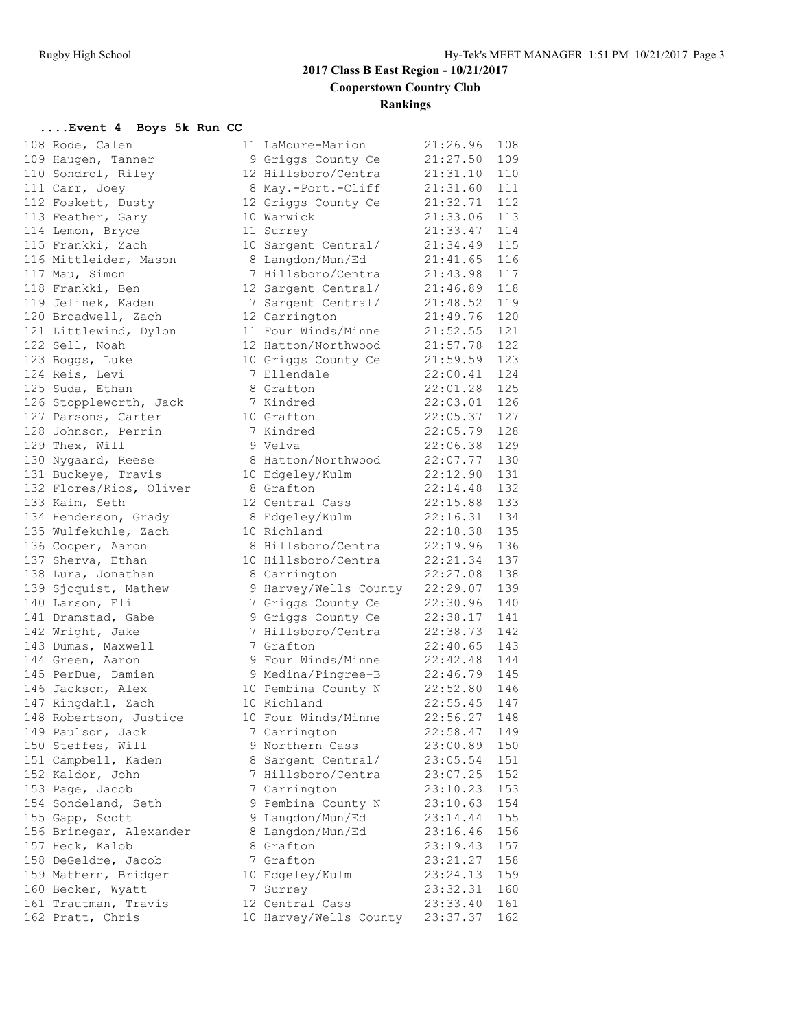| 108 Rode, Calen         | 11 LaMoure-Marion      | 21:26.96       | 108 |
|-------------------------|------------------------|----------------|-----|
| 109 Haugen, Tanner      | 9 Griggs County Ce     | 21:27.50       | 109 |
| 110 Sondrol, Riley      | 12 Hillsboro/Centra    | 21:31.10       | 110 |
| 111 Carr, Joey          | 8 May.-Port.-Cliff     | 21:31.60       | 111 |
| 112 Foskett, Dusty      | 12 Griggs County Ce    | 21:32.71       | 112 |
| 113 Feather, Gary       | 10 Warwick             | 21:33.06       | 113 |
| 114 Lemon, Bryce        | 11 Surrey              | 21:33.47       | 114 |
| 115 Frankki, Zach       | 10 Sargent Central/    | 21:34.49 115   |     |
| 116 Mittleider, Mason   | 8 Langdon/Mun/Ed       | 21:41.65 116   |     |
| 117 Mau, Simon          | 7 Hillsboro/Centra     | 21:43.98 117   |     |
| 118 Frankki, Ben        | 12 Sargent Central/    | $21:46.89$ 118 |     |
| 119 Jelinek, Kaden      | 7 Sargent Central/     | 21:48.52       | 119 |
| 120 Broadwell, Zach     | 12 Carrington          | 21:49.76 120   |     |
| 121 Littlewind, Dylon   | 11 Four Winds/Minne    | $21:52.55$ 121 |     |
| 122 Sell, Noah          | 12 Hatton/Northwood    | $21:57.78$ 122 |     |
| 123 Boggs, Luke         | 10 Griggs County Ce    | 21:59.59 123   |     |
| 124 Reis, Levi          | 7 Ellendale            | 22:00.41 124   |     |
| 125 Suda, Ethan         | 8 Grafton              | 22:01.28       | 125 |
| 126 Stoppleworth, Jack  | 7 Kindred              | 22:03.01 126   |     |
| 127 Parsons, Carter     | 10 Grafton             | 22:05.37 127   |     |
| 128 Johnson, Perrin     | 7 Kindred              | 22:05.79 128   |     |
| 129 Thex, Will          | 9 Velva                | 22:06.38 129   |     |
| 130 Nygaard, Reese      | 8 Hatton/Northwood     | 22:07.77 130   |     |
| 131 Buckeye, Travis     | 10 Edgeley/Kulm        | 22:12.90       | 131 |
| 132 Flores/Rios, Oliver | 8 Grafton              | 22:14.48 132   |     |
| 133 Kaim, Seth          | 12 Central Cass        | 22:15.88 133   |     |
| 134 Henderson, Grady    | 8 Edgeley/Kulm         | 22:16.31 134   |     |
| 135 Wulfekuhle, Zach    | 10 Richland            | 22:18.38 135   |     |
| 136 Cooper, Aaron       | 8 Hillsboro/Centra     | 22:19.96       | 136 |
| 137 Sherva, Ethan       | 10 Hillsboro/Centra    | 22:21.34       | 137 |
| 138 Lura, Jonathan      | 8 Carrington           | 22:27.08       | 138 |
| 139 Sjoquist, Mathew    | 9 Harvey/Wells County  | 22:29.07 139   |     |
| 140 Larson, Eli         | 7 Griggs County Ce     | 22:30.96 140   |     |
| 141 Dramstad, Gabe      | 9 Griggs County Ce     | 22:38.17 141   |     |
| 142 Wright, Jake        | 7 Hillsboro/Centra     | 22:38.73       | 142 |
| 143 Dumas, Maxwell      | 7 Grafton              | 22:40.65       | 143 |
| 144 Green, Aaron        | 9 Four Winds/Minne     | 22:42.48 144   |     |
| 145 PerDue, Damien      | 9 Medina/Pingree-B     | 22:46.79 145   |     |
| 146 Jackson, Alex       | 10 Pembina County N    | 22:52.80 146   |     |
| 147 Ringdahl, Zach      | 10 Richland            | 22:55.45 147   |     |
| 148 Robertson, Justice  | 10 Four Winds/Minne    | 22:56.27 148   |     |
| 149 Paulson, Jack       | 7 Carrington           | 22:58.47       | 149 |
| 150 Steffes, Will       | 9 Northern Cass        | 23:00.89       | 150 |
| 151 Campbell, Kaden     | 8 Sargent Central/     | 23:05.54       | 151 |
| 152 Kaldor, John        | 7 Hillsboro/Centra     | 23:07.25       | 152 |
| 153 Page, Jacob         | 7 Carrington           | 23:10.23       | 153 |
| 154 Sondeland, Seth     | 9 Pembina County N     | 23:10.63       | 154 |
| 155 Gapp, Scott         | 9 Langdon/Mun/Ed       | 23:14.44       | 155 |
| 156 Brinegar, Alexander | 8 Langdon/Mun/Ed       | 23:16.46       | 156 |
| 157 Heck, Kalob         | 8 Grafton              | 23:19.43       | 157 |
| 158 DeGeldre, Jacob     | 7 Grafton              | 23:21.27       | 158 |
| 159 Mathern, Bridger    | 10 Edgeley/Kulm        | 23:24.13       | 159 |
| 160 Becker, Wyatt       | 7 Surrey               | 23:32.31       | 160 |
| 161 Trautman, Travis    | 12 Central Cass        | 23:33.40       | 161 |
| 162 Pratt, Chris        | 10 Harvey/Wells County | 23:37.37       | 162 |
|                         |                        |                |     |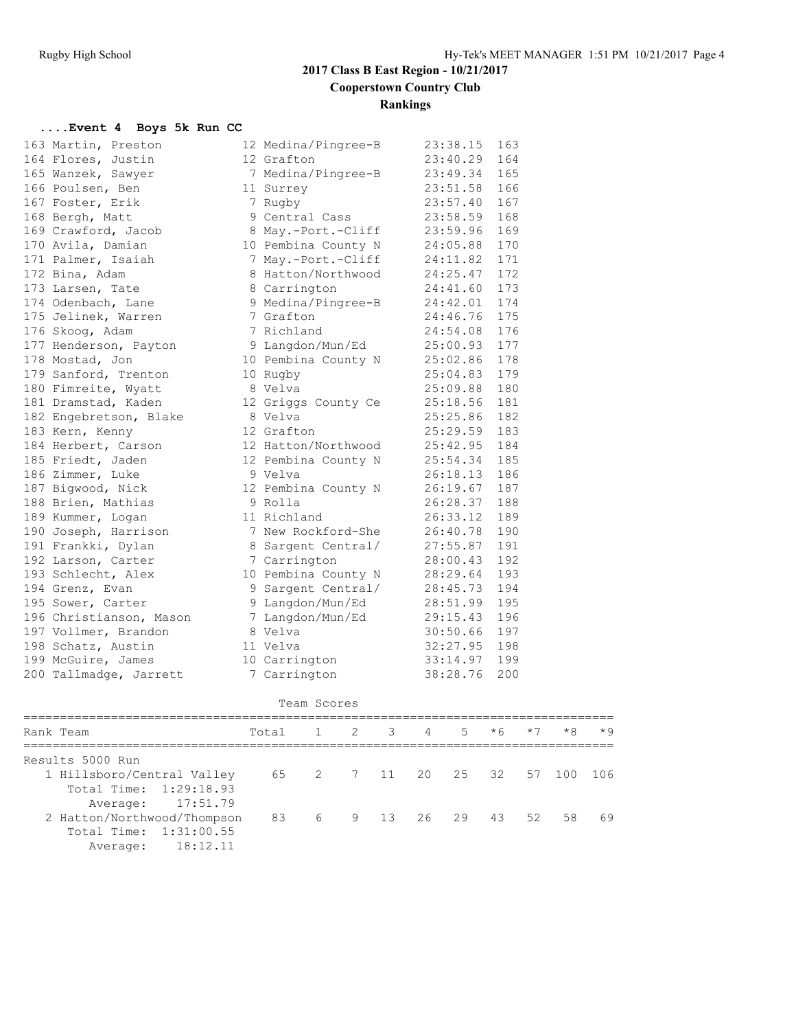| 163 Martin, Preston     | 12 Medina/Pingree-B | 23:38.15       | 163 |
|-------------------------|---------------------|----------------|-----|
| 164 Flores, Justin      | 12 Grafton          | 23:40.29       | 164 |
| 165 Wanzek, Sawyer      | 7 Medina/Pingree-B  | 23:49.34       | 165 |
| 166 Poulsen, Ben        | 11 Surrey           | 23:51.58       | 166 |
| 167 Foster, Erik        | 7 Rugby             | 23:57.40       | 167 |
| 168 Bergh, Matt         | 9 Central Cass      | 23:58.59       | 168 |
| 169 Crawford, Jacob     | 8 May.-Port.-Cliff  | 23:59.96       | 169 |
| 170 Avila, Damian       | 10 Pembina County N | 24:05.88       | 170 |
| 171 Palmer, Isaiah      | 7 May.-Port.-Cliff  | 24:11.82       | 171 |
| 172 Bina, Adam          | 8 Hatton/Northwood  | 24:25.47 172   |     |
| 173 Larsen, Tate        | 8 Carrington        | 24:41.60 173   |     |
| 174 Odenbach, Lane      | 9 Medina/Pingree-B  | 24:42.01 174   |     |
| 175 Jelinek, Warren     | 7 Grafton           | 24:46.76       | 175 |
| 176 Skoog, Adam         | 7 Richland          | 24:54.08       | 176 |
| 177 Henderson, Payton   | 9 Langdon/Mun/Ed    | 25:00.93       | 177 |
| 178 Mostad, Jon         | 10 Pembina County N | 25:02.86 178   |     |
| 179 Sanford, Trenton    | 10 Rugby            | 25:04.83 179   |     |
| 180 Fimreite, Wyatt     | 8 Velva             | 25:09.88 180   |     |
| 181 Dramstad, Kaden     | 12 Griggs County Ce | 25:18.56 181   |     |
| 182 Engebretson, Blake  | 8 Velva             | 25:25.86       | 182 |
| 183 Kern, Kenny         | 12 Grafton          | 25:29.59       | 183 |
| 184 Herbert, Carson     | 12 Hatton/Northwood | 25:42.95       | 184 |
| 185 Friedt, Jaden       | 12 Pembina County N | 25:54.34       | 185 |
| 186 Zimmer, Luke        | 9 Velva             | 26:18.13       | 186 |
| 187 Bigwood, Nick       | 12 Pembina County N | 26:19.67 187   |     |
| 188 Brien, Mathias      | 9 Rolla             | 26:28.37 188   |     |
| 189 Kummer, Logan       | 11 Richland         | 26:33.12 189   |     |
| 190 Joseph, Harrison    | 7 New Rockford-She  | 26:40.78       | 190 |
| 191 Frankki, Dylan      | 8 Sargent Central/  | 27:55.87       | 191 |
| 192 Larson, Carter      | 7 Carrington        | 28:00.43       | 192 |
| 193 Schlecht, Alex      | 10 Pembina County N | 28:29.64       | 193 |
| 194 Grenz, Evan         | 9 Sargent Central/  | 28:45.73       | 194 |
| 195 Sower, Carter       | 9 Langdon/Mun/Ed    | 28:51.99 195   |     |
| 196 Christianson, Mason | 7 Langdon/Mun/Ed    | 29:15.43 196   |     |
| 197 Vollmer, Brandon    | 8 Velva             | 30:50.66 197   |     |
| 198 Schatz, Austin      | 11 Velva            | $32:27.95$ 198 |     |
| 199 McGuire, James      | 10 Carrington       | 33:14.97 199   |     |
| 200 Tallmadge, Jarrett  | 7 Carrington        | 38:28.76       | 200 |
|                         | Team Scores         |                |     |

| Total                       |  |  |  |    | $*8$                                           | $*9$                                    |
|-----------------------------|--|--|--|----|------------------------------------------------|-----------------------------------------|
|                             |  |  |  |    |                                                |                                         |
|                             |  |  |  |    |                                                | ា ೧ 6                                   |
|                             |  |  |  |    |                                                |                                         |
|                             |  |  |  |    |                                                |                                         |
| 2 Hatton/Northwood/Thompson |  |  |  | 52 |                                                | -69                                     |
|                             |  |  |  |    |                                                |                                         |
|                             |  |  |  |    |                                                |                                         |
|                             |  |  |  |    | $1 \t2 \t3 \t4 \t5 \t*6$<br>83 6 9 13 26 29 43 | $*7$<br>65 2 7 11 20 25 32 57 100<br>58 |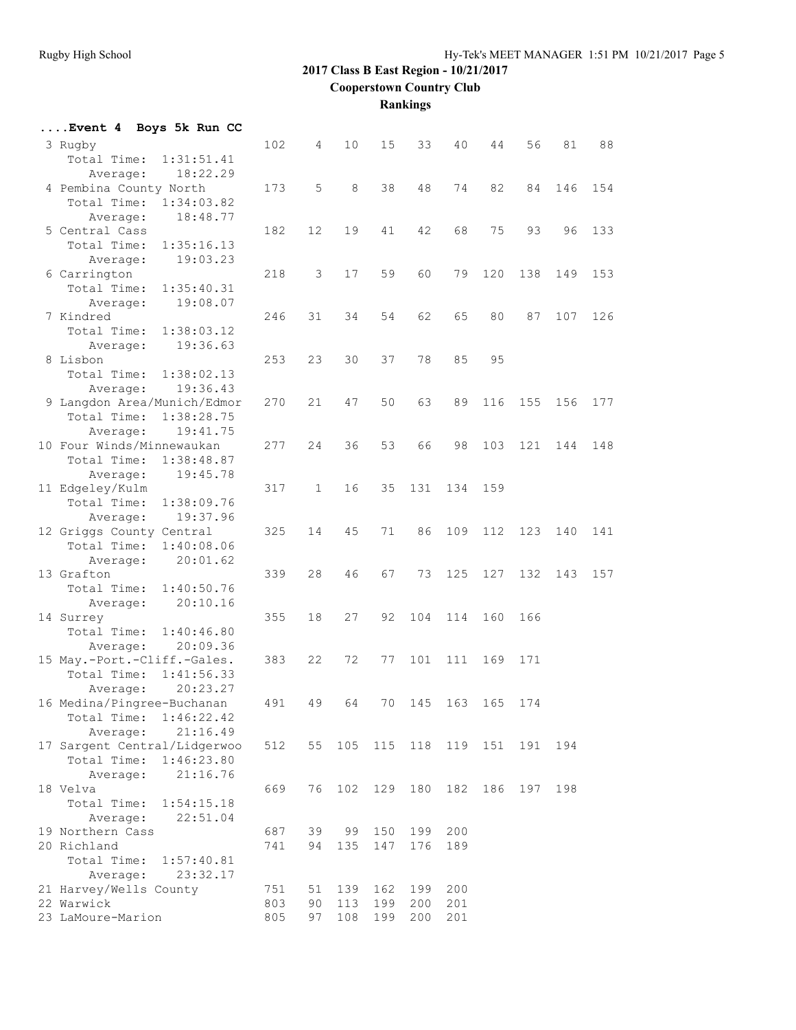**Rankings**

| Event 4 Boys 5k Run CC                            |            |              |            |            |            |                 |             |     |     |     |
|---------------------------------------------------|------------|--------------|------------|------------|------------|-----------------|-------------|-----|-----|-----|
| 3 Rugby<br>Total Time:<br>1:31:51.41              | 102        | 4            | 10         | 15         | 33         | 40              | 44          | 56  | 81  | 88  |
| 18:22.29<br>Average:<br>4 Pembina County North    | 173        | 5            | 8          | 38         | 48         | 74              | 82          | 84  | 146 | 154 |
| Total Time:<br>1:34:03.82<br>18:48.77<br>Average: |            |              |            |            |            |                 |             |     |     |     |
| 5 Central Cass                                    | 182        | 12           | 19         | 41         | 42         | 68              | 75          | 93  | 96  | 133 |
| Total Time:<br>1:35:16.13<br>19:03.23<br>Average: |            |              |            |            |            |                 |             |     |     |     |
| 6 Carrington                                      | 218        | 3            | 17         | 59         | 60         | 79              | 120         | 138 | 149 | 153 |
| Total Time:<br>1:35:40.31<br>19:08.07<br>Average: |            |              |            |            |            |                 |             |     |     |     |
| 7 Kindred                                         | 246        | 31           | 34         | 54         | 62         | 65              | 80          | 87  | 107 | 126 |
| Total Time:<br>1:38:03.12                         |            |              |            |            |            |                 |             |     |     |     |
| 19:36.63<br>Average:                              |            |              |            |            |            |                 |             |     |     |     |
| 8 Lisbon                                          | 253        | 23           | 30         | 37         | 78         | 85              | 95          |     |     |     |
| Total Time:<br>1:38:02.13                         |            |              |            |            |            |                 |             |     |     |     |
| 19:36.43<br>Average:                              |            |              |            |            |            |                 |             |     |     |     |
| 9 Langdon Area/Munich/Edmor                       | 270        | 21           | 47         | 50         | 63         | 89              | 116         | 155 | 156 | 177 |
| Total Time:<br>1:38:28.75                         |            |              |            |            |            |                 |             |     |     |     |
| 19:41.75<br>Average:<br>10 Four Winds/Minnewaukan | 277        | 24           | 36         | 53         | 66         | 98              | 103         | 121 | 144 | 148 |
| Total Time:<br>1:38:48.87                         |            |              |            |            |            |                 |             |     |     |     |
| Average:<br>19:45.78                              |            |              |            |            |            |                 |             |     |     |     |
| 11 Edgeley/Kulm                                   | 317        | $\mathbf{1}$ | 16         | 35         | 131        | 134             | 159         |     |     |     |
| Total Time:<br>1:38:09.76                         |            |              |            |            |            |                 |             |     |     |     |
| 19:37.96<br>Average:                              |            |              |            |            |            |                 |             |     |     |     |
| 12 Griggs County Central                          | 325        | 14           | 45         | 71         | 86         | 109             | 112         | 123 | 140 | 141 |
| Total Time:<br>1:40:08.06                         |            |              |            |            |            |                 |             |     |     |     |
| 20:01.62<br>Average:                              |            |              |            |            |            |                 |             |     |     |     |
| 13 Grafton<br>Total Time:<br>1:40:50.76           | 339        | 28           | 46         | 67         | 73         | 125             | 127         | 132 | 143 | 157 |
| 20:10.16<br>Average:                              |            |              |            |            |            |                 |             |     |     |     |
| 14 Surrey                                         | 355        | 18           | 27         | 92         | 104        | 114             | 160         | 166 |     |     |
| Total Time:<br>1:40:46.80                         |            |              |            |            |            |                 |             |     |     |     |
| 20:09.36<br>Average:                              |            |              |            |            |            |                 |             |     |     |     |
| 15 May.-Port.-Cliff.-Gales.                       | 383        | 22           | 72         | 77         | 101        | 111             | 169         | 171 |     |     |
| Total Time:<br>1:41:56.33                         |            |              |            |            |            |                 |             |     |     |     |
| 20:23.27<br>Average:                              |            |              |            |            |            |                 |             |     |     |     |
| 16 Medina/Pingree-Buchanan                        | 491        | 49           | 64         |            | 70 145     |                 | 163 165 174 |     |     |     |
| Total Time: 1:46:22.42<br>21:16.49                |            |              |            |            |            |                 |             |     |     |     |
| Average:<br>17 Sargent Central/Lidgerwoo          | 512        | 55           | 105        | 115        |            | 118 119 151 191 |             |     | 194 |     |
| Total Time:<br>1:46:23.80                         |            |              |            |            |            |                 |             |     |     |     |
| 21:16.76<br>Average:                              |            |              |            |            |            |                 |             |     |     |     |
| 18 Velva                                          | 669        | 76           | 102        | 129        | 180        | 182             | 186         | 197 | 198 |     |
| Total Time: 1:54:15.18                            |            |              |            |            |            |                 |             |     |     |     |
| Average:<br>22:51.04                              |            |              |            |            |            |                 |             |     |     |     |
| 19 Northern Cass                                  | 687        | 39           | 99         | 150        | 199        | 200             |             |     |     |     |
| 20 Richland                                       | 741        | 94           | 135        | 147        | 176        | 189             |             |     |     |     |
| Total Time: 1:57:40.81                            |            |              |            |            |            |                 |             |     |     |     |
| Average: 23:32.17                                 |            |              |            |            |            |                 |             |     |     |     |
| 21 Harvey/Wells County<br>22 Warwick              | 751<br>803 | 51<br>90     | 139<br>113 | 162<br>199 | 199<br>200 | 200<br>201      |             |     |     |     |
| 23 LaMoure-Marion                                 | 805        | 97           | 108        | 199        | 200        | 201             |             |     |     |     |
|                                                   |            |              |            |            |            |                 |             |     |     |     |